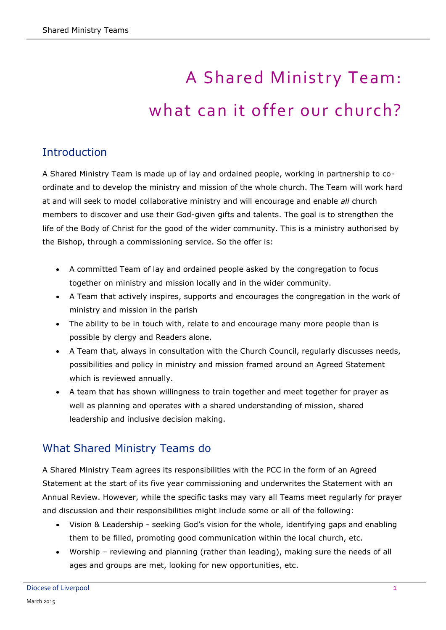# A Shared Ministry Team: what can it offer our church?

## **Introduction**

A Shared Ministry Team is made up of lay and ordained people, working in partnership to coordinate and to develop the ministry and mission of the whole church. The Team will work hard at and will seek to model collaborative ministry and will encourage and enable *all* church members to discover and use their God-given gifts and talents. The goal is to strengthen the life of the Body of Christ for the good of the wider community. This is a ministry authorised by the Bishop, through a commissioning service. So the offer is:

- A committed Team of lay and ordained people asked by the congregation to focus together on ministry and mission locally and in the wider community.
- A Team that actively inspires, supports and encourages the congregation in the work of ministry and mission in the parish
- The ability to be in touch with, relate to and encourage many more people than is possible by clergy and Readers alone.
- A Team that, always in consultation with the Church Council, regularly discusses needs, possibilities and policy in ministry and mission framed around an Agreed Statement which is reviewed annually.
- A team that has shown willingness to train together and meet together for prayer as well as planning and operates with a shared understanding of mission, shared leadership and inclusive decision making.

## What Shared Ministry Teams do

A Shared Ministry Team agrees its responsibilities with the PCC in the form of an Agreed Statement at the start of its five year commissioning and underwrites the Statement with an Annual Review. However, while the specific tasks may vary all Teams meet regularly for prayer and discussion and their responsibilities might include some or all of the following:

- Vision & Leadership seeking God"s vision for the whole, identifying gaps and enabling them to be filled, promoting good communication within the local church, etc.
- Worship reviewing and planning (rather than leading), making sure the needs of all ages and groups are met, looking for new opportunities, etc.